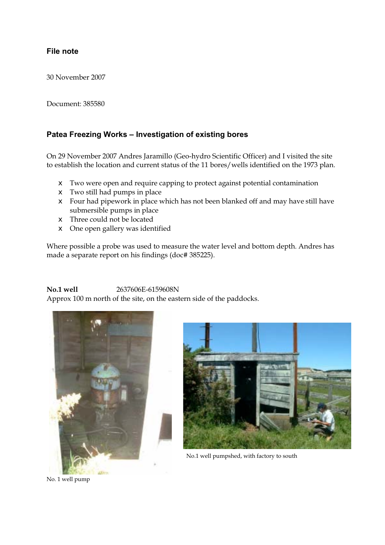#### File note **File note**

30 November 2007

Document: 385580

### **Patea Freezing Works – Investigation of existing bores**

On 29 November 2007 Andres Jaramillo (Geo-hydro Scientific Officer) and I visited the site to establish the location and current status of the 11 bores/wells identified on the 1973 plan.

- $\epsilon$  Two were open and require capping to protect against potential contamination
- $\epsilon$  Two still had pumps in place
- $\epsilon$  Four had pipework in place which has not been blanked off and may have still have submersible pumps in place
- $\epsilon$  Three could not be located
- $\epsilon$  One open gallery was identified

Where possible a probe was used to measure the water level and bottom depth. Andres has made a separate report on his findings (doc# 385225).

### **No.1 well** 2637606E-6159608N

Approx 100 m north of the site, on the eastern side of the paddocks.





No.1 well pumpshed, with factory to south

No. 1 well pump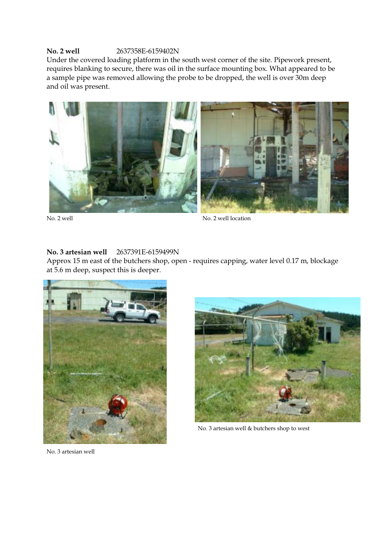### **No. 2 well** 2637358E-6159402N

Under the covered loading platform in the south west corner of the site. Pipework present, requires blanking to secure, there was oil in the surface mounting box. What appeared to be a sample pipe was removed allowing the probe to be dropped, the well is over 30m deep and oil was present.



No. 2 well location

## **No. 3 artesian well** 2637391E-6159499N

Approx 15 m east of the butchers shop, open - requires capping, water level 0.17 m, blockage at 5.6 m deep, suspect this is deeper.





No. 3 artesian well & butchers shop to west

No. 3 artesian well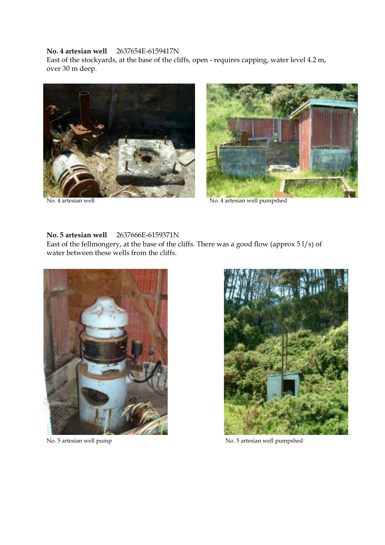### **No. 4 artesian well** 2637654E-6159417N

East of the stockyards, at the base of the cliffs, open - requires capping, water level 4.2 m, over 30 m deep.





No. 4 artesian well No. 4 artesian well pumpshed

#### **No. 5 artesian well** 2637666E-6159371N

East of the fellmongery, at the base of the cliffs. There was a good flow (approx 5 l/s) of water between these wells from the cliffs.





No. 5 artesian well pump No. 5 artesian well pumpshed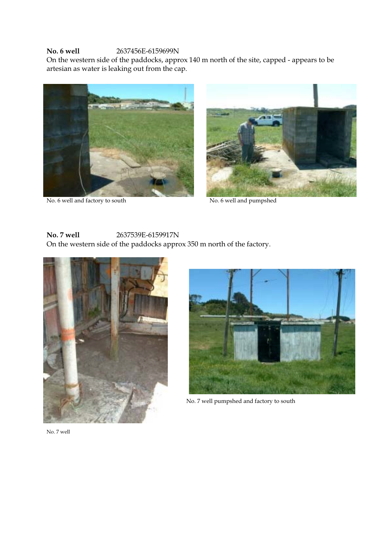### **No. 6 well** 2637456E-6159699N

On the western side of the paddocks, approx 140 m north of the site, capped - appears to be artesian as water is leaking out from the cap.



No. 6 well and factory to south No. 6 well and pumpshed



# **No. 7 well** 2637539E-6159917N

On the western side of the paddocks approx 350 m north of the factory.





No. 7 well pumpshed and factory to south

No. 7 well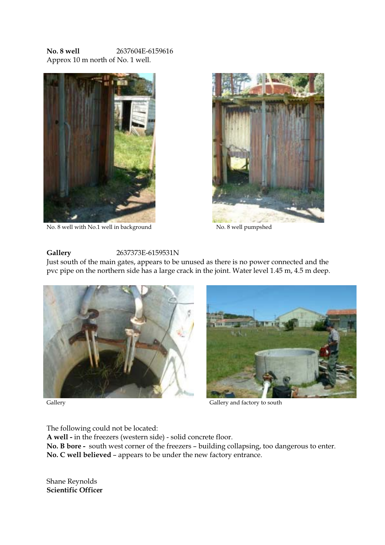**No. 8 well** 2637604E-6159616 Approx 10 m north of No. 1 well.



No. 8 well with No.1 well in background No. 8 well pumpshed



#### **Gallery** 2637373E-6159531N

Just south of the main gates, appears to be unused as there is no power connected and the pvc pipe on the northern side has a large crack in the joint. Water level 1.45 m, 4.5 m deep.





Gallery and factory to south

The following could not be located:

**A well -** in the freezers (western side) - solid concrete floor.

**No. B bore -** south west corner of the freezers – building collapsing, too dangerous to enter. **No. C well believed** – appears to be under the new factory entrance.

Shane Reynolds **Scientific Officer**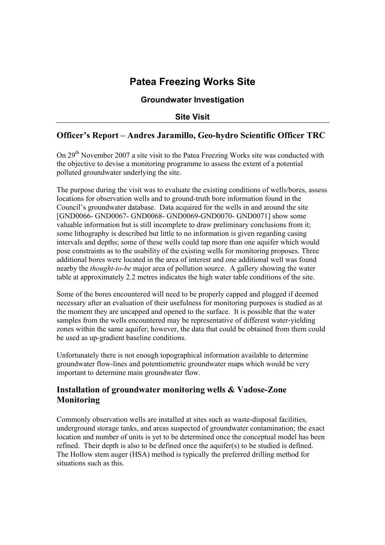# **Patea Freezing Works Site**

## **Groundwater Investigation**

## **Site Visit**

## **Officer's Report – Andres Jaramillo, Geo-hydro Scientific Officer TRC**

On 29<sup>th</sup> November 2007 a site visit to the Patea Freezing Works site was conducted with the objective to devise a monitoring programme to assess the extent of a potential polluted groundwater underlying the site.

The purpose during the visit was to evaluate the existing conditions of wells/bores, assess locations for observation wells and to ground-truth bore information found in the Council's groundwater database. Data acquired for the wells in and around the site [GND0066- GND0067- GND0068- GND0069-GND0070- GND0071] show some valuable information but is still incomplete to draw preliminary conclusions from it; some lithography is described but little to no information is given regarding casing intervals and depths; some of these wells could tap more than one aquifer which would pose constraints as to the usability of the existing wells for monitoring proposes. Three additional bores were located in the area of interest and one additional well was found nearby the *thought-to-be* major area of pollution source. A gallery showing the water table at approximately 2.2 metres indicates the high water table conditions of the site.

Some of the bores encountered will need to be properly capped and plugged if deemed necessary after an evaluation of their usefulness for monitoring purposes is studied as at the moment they are uncapped and opened to the surface. It is possible that the water samples from the wells encountered may be representative of different water-yielding zones within the same aquifer; however, the data that could be obtained from them could be used as up-gradient baseline conditions.

Unfortunately there is not enough topographical information available to determine groundwater flow-lines and potentiometric groundwater maps which would be very important to determine main groundwater flow.

## **Installation of groundwater monitoring wells & Vadose-Zone Monitoring**

Commonly observation wells are installed at sites such as waste-disposal facilities, underground storage tanks, and areas suspected of groundwater contamination; the exact location and number of units is yet to be determined once the conceptual model has been refined. Their depth is also to be defined once the aquifer(s) to be studied is defined. The Hollow stem auger (HSA) method is typically the preferred drilling method for situations such as this.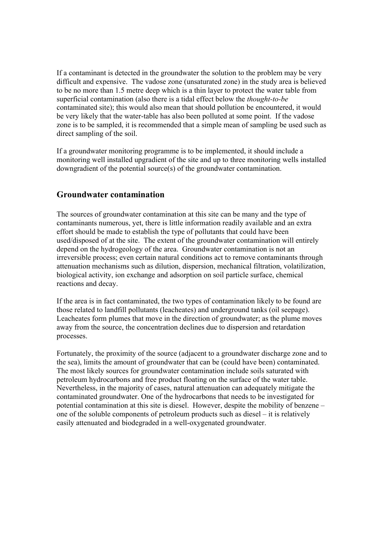If a contaminant is detected in the groundwater the solution to the problem may be very difficult and expensive. The vadose zone (unsaturated zone) in the study area is believed to be no more than 1.5 metre deep which is a thin layer to protect the water table from superficial contamination (also there is a tidal effect below the *thought-to-be* contaminated site); this would also mean that should pollution be encountered, it would be very likely that the water-table has also been polluted at some point. If the vadose zone is to be sampled, it is recommended that a simple mean of sampling be used such as direct sampling of the soil.

If a groundwater monitoring programme is to be implemented, it should include a monitoring well installed upgradient of the site and up to three monitoring wells installed downgradient of the potential source(s) of the groundwater contamination.

## **Groundwater contamination**

The sources of groundwater contamination at this site can be many and the type of contaminants numerous, yet, there is little information readily available and an extra effort should be made to establish the type of pollutants that could have been used/disposed of at the site. The extent of the groundwater contamination will entirely depend on the hydrogeology of the area. Groundwater contamination is not an irreversible process; even certain natural conditions act to remove contaminants through attenuation mechanisms such as dilution, dispersion, mechanical filtration, volatilization, biological activity, ion exchange and adsorption on soil particle surface, chemical reactions and decay.

If the area is in fact contaminated, the two types of contamination likely to be found are those related to landfill pollutants (leacheates) and underground tanks (oil seepage). Leacheates form plumes that move in the direction of groundwater; as the plume moves away from the source, the concentration declines due to dispersion and retardation processes.

Fortunately, the proximity of the source (adjacent to a groundwater discharge zone and to the sea), limits the amount of groundwater that can be (could have been) contaminated. The most likely sources for groundwater contamination include soils saturated with petroleum hydrocarbons and free product floating on the surface of the water table. Nevertheless, in the majority of cases, natural attenuation can adequately mitigate the contaminated groundwater. One of the hydrocarbons that needs to be investigated for potential contamination at this site is diesel. However, despite the mobility of benzene – one of the soluble components of petroleum products such as diesel – it is relatively easily attenuated and biodegraded in a well-oxygenated groundwater.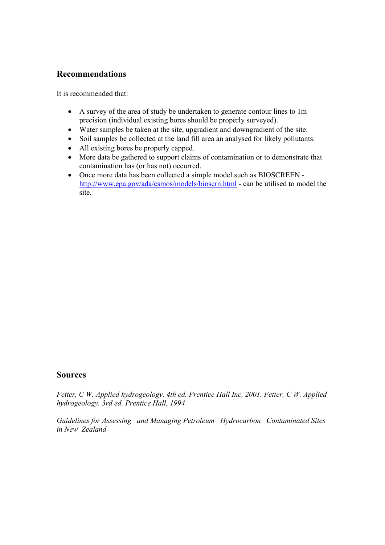## **Recommendations**

It is recommended that:

- A survey of the area of study be undertaken to generate contour lines to 1m precision (individual existing bores should be properly surveyed).
- Water samples be taken at the site, upgradient and downgradient of the site.
- Soil samples be collected at the land fill area an analysed for likely pollutants.
- All existing bores be properly capped.
- More data be gathered to support claims of contamination or to demonstrate that contamination has (or has not) occurred.
- Once more data has been collected a simple model such as BIOSCREEN http://www.epa.gov/ada/csmos/models/bioscrn.html - can be utilised to model the site.

### **Sources**

*Fetter, C W. Applied hydrogeology. 4th ed. Prentice Hall Inc, 2001. Fetter, C W. Applied hydrogeology. 3rd ed. Prentice Hall, 1994*

*Guidelines for Assessing and Managing Petroleum Hydrocarbon Contaminated Sites in New Zealand*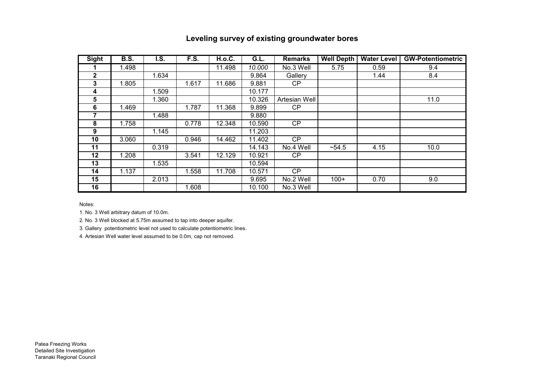| Leveling survey of existing groundwater bores |  |  |  |
|-----------------------------------------------|--|--|--|
|-----------------------------------------------|--|--|--|

| <b>Sight</b> | <b>B.S.</b> | I.S.  | F.S.  | <b>H.o.C.</b> | G.L.   | <b>Remarks</b> | <b>Well Depth</b> | <b>Water Level</b> | <b>GW-Potentiometric</b> |
|--------------|-------------|-------|-------|---------------|--------|----------------|-------------------|--------------------|--------------------------|
|              | 1.498       |       |       | 11.498        | 10.000 | No.3 Well      | 5.75              | 0.59               | 9.4                      |
| $\mathbf{2}$ |             | 1.634 |       |               | 9.864  | Gallery        |                   | 1.44               | 8.4                      |
| 3            | 1.805       |       | 1.617 | 11.686        | 9.881  | CP             |                   |                    |                          |
| 4            |             | 1.509 |       |               | 10.177 |                |                   |                    |                          |
| 5            |             | 1.360 |       |               | 10.326 | Artesian Well  |                   |                    | 11.0                     |
| 6            | 1.469       |       | 1.787 | 11.368        | 9.899  | CP.            |                   |                    |                          |
|              |             | 1.488 |       |               | 9.880  |                |                   |                    |                          |
| 8            | 1.758       |       | 0.778 | 12.348        | 10.590 | CP             |                   |                    |                          |
| 9            |             | 1.145 |       |               | 11.203 |                |                   |                    |                          |
| 10           | 3.060       |       | 0.946 | 14.462        | 11.402 | CP             |                   |                    |                          |
| 11           |             | 0.319 |       |               | 14.143 | No.4 Well      | ~54.5             | 4.15               | 10.0                     |
| 12           | 1.208       |       | 3.541 | 12.129        | 10.921 | CP             |                   |                    |                          |
| 13           |             | 1.535 |       |               | 10.594 |                |                   |                    |                          |
| 14           | 1.137       |       | 1.558 | 11.708        | 10.571 | CP             |                   |                    |                          |
| 15           |             | 2.013 |       |               | 9.695  | No.2 Well      | $100+$            | 0.70               | 9.0                      |
| 16           |             |       | 1.608 |               | 10.100 | No.3 Well      |                   |                    |                          |

Notes:

1. No. 3 Well arbitrary datum of 10.0m.

2. No. 3 Well blocked at 5.75m assumed to tap into deeper aquifer.

3. Gallery potentiometric level not used to calculate potentiometric lines.

4. Artesian Well water level assumed to be 0.0m, cap not removed.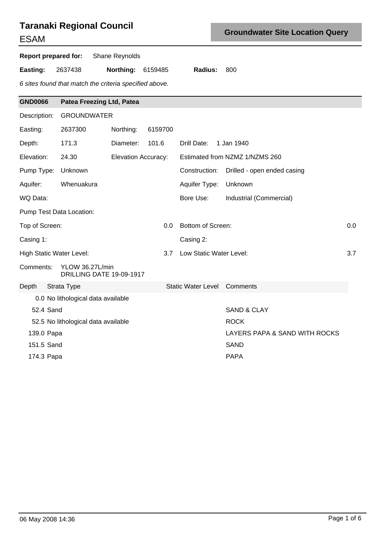# **Taranaki Regional Council**

# ESAM

**Report prepared for:** Shane Reynolds

**Easting:** 2637438 **Northing:** 6159485 **Radius:** 800

6 sites found that match the criteria specified above.

| <b>GND0066</b>           | <b>Patea Freezing Ltd, Patea</b>            |                            |         |                                    |             |                                |     |
|--------------------------|---------------------------------------------|----------------------------|---------|------------------------------------|-------------|--------------------------------|-----|
| Description:             | <b>GROUNDWATER</b>                          |                            |         |                                    |             |                                |     |
| Easting:                 | 2637300                                     | Northing:                  | 6159700 |                                    |             |                                |     |
| Depth:                   | 171.3                                       | Diameter:                  | 101.6   | Drill Date:                        | 1 Jan 1940  |                                |     |
| Elevation:               | 24.30                                       | <b>Elevation Accuracy:</b> |         |                                    |             | Estimated from NZMZ 1/NZMS 260 |     |
| Pump Type:               | Unknown                                     |                            |         | Construction:                      |             | Drilled - open ended casing    |     |
| Aquifer:                 | Whenuakura                                  |                            |         | Aquifer Type:                      | Unknown     |                                |     |
| WQ Data:                 |                                             |                            |         | Bore Use:                          |             | Industrial (Commercial)        |     |
|                          | Pump Test Data Location:                    |                            |         |                                    |             |                                |     |
| Top of Screen:           |                                             |                            | 0.0     | Bottom of Screen:                  |             |                                | 0.0 |
| Casing 1:                |                                             |                            |         | Casing 2:                          |             |                                |     |
| High Static Water Level: |                                             |                            | 3.7     | Low Static Water Level:            |             |                                | 3.7 |
| Comments:                | YLOW 36.27L/min<br>DRILLING DATE 19-09-1917 |                            |         |                                    |             |                                |     |
| Depth                    | Strata Type                                 |                            |         | <b>Static Water Level Comments</b> |             |                                |     |
|                          | 0.0 No lithological data available          |                            |         |                                    |             |                                |     |
| 52.4 Sand                |                                             |                            |         |                                    |             | <b>SAND &amp; CLAY</b>         |     |
|                          | 52.5 No lithological data available         |                            |         |                                    | <b>ROCK</b> |                                |     |
| 139.0 Papa               |                                             |                            |         |                                    |             | LAYERS PAPA & SAND WITH ROCKS  |     |
| 151.5 Sand               |                                             |                            |         |                                    | <b>SAND</b> |                                |     |
| 174.3 Papa               |                                             |                            |         |                                    | <b>PAPA</b> |                                |     |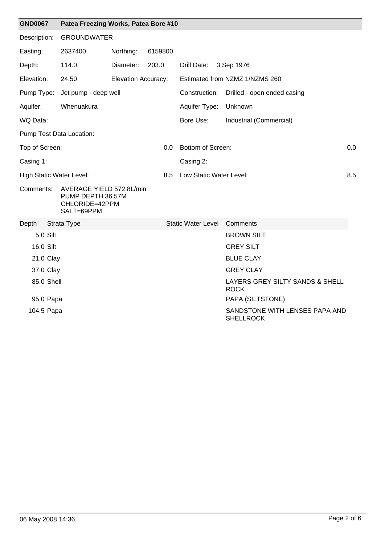| <b>GND0067</b> |          | Patea Freezing Works, Patea Bore #10                                          |                            |         |     |                           |  |                                                    |     |
|----------------|----------|-------------------------------------------------------------------------------|----------------------------|---------|-----|---------------------------|--|----------------------------------------------------|-----|
| Description:   |          | <b>GROUNDWATER</b>                                                            |                            |         |     |                           |  |                                                    |     |
| Easting:       |          | 2637400                                                                       | Northing:                  | 6159800 |     |                           |  |                                                    |     |
| Depth:         |          | 114.0                                                                         | Diameter:                  | 203.0   |     | Drill Date:               |  | 3 Sep 1976                                         |     |
| Elevation:     |          | 24.50                                                                         | <b>Elevation Accuracy:</b> |         |     |                           |  | Estimated from NZMZ 1/NZMS 260                     |     |
| Pump Type:     |          | Jet pump - deep well                                                          |                            |         |     | Construction:             |  | Drilled - open ended casing                        |     |
| Aquifer:       |          | Whenuakura                                                                    |                            |         |     | Aquifer Type:             |  | Unknown                                            |     |
| WQ Data:       |          |                                                                               |                            |         |     | Bore Use:                 |  | Industrial (Commercial)                            |     |
|                |          | Pump Test Data Location:                                                      |                            |         |     |                           |  |                                                    |     |
| Top of Screen: |          |                                                                               |                            |         | 0.0 | Bottom of Screen:         |  |                                                    | 0.0 |
| Casing 1:      |          |                                                                               |                            |         |     | Casing 2:                 |  |                                                    |     |
|                |          | <b>High Static Water Level:</b>                                               |                            |         | 8.5 | Low Static Water Level:   |  |                                                    | 8.5 |
| Comments:      |          | AVERAGE YIELD 572.8L/min<br>PUMP DEPTH 36.57M<br>CHLORIDE=42PPM<br>SALT=69PPM |                            |         |     |                           |  |                                                    |     |
| Depth          |          | Strata Type                                                                   |                            |         |     | <b>Static Water Level</b> |  | Comments                                           |     |
|                | 5.0 Silt |                                                                               |                            |         |     |                           |  | <b>BROWN SILT</b>                                  |     |
| 16.0 Silt      |          |                                                                               |                            |         |     |                           |  | <b>GREY SILT</b>                                   |     |
| 21.0 Clay      |          |                                                                               |                            |         |     |                           |  | <b>BLUE CLAY</b>                                   |     |
| 37.0 Clay      |          |                                                                               |                            |         |     |                           |  | <b>GREY CLAY</b>                                   |     |
| 85.0 Shell     |          |                                                                               |                            |         |     |                           |  | LAYERS GREY SILTY SANDS & SHELL<br><b>ROCK</b>     |     |
| 95.0 Papa      |          |                                                                               |                            |         |     |                           |  | PAPA (SILTSTONE)                                   |     |
| 104.5 Papa     |          |                                                                               |                            |         |     |                           |  | SANDSTONE WITH LENSES PAPA AND<br><b>SHELLROCK</b> |     |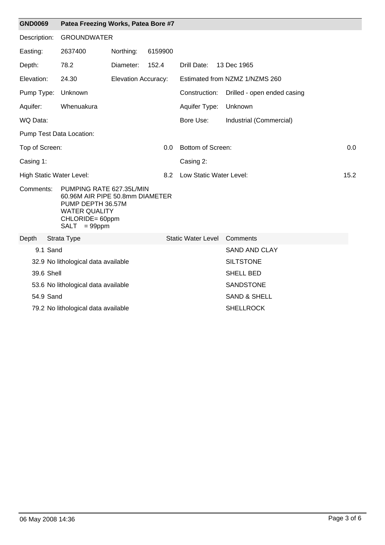| <b>GND0069</b>                  | Patea Freezing Works, Patea Bore #7                                                                                                            |                     |         |                             |                                |      |
|---------------------------------|------------------------------------------------------------------------------------------------------------------------------------------------|---------------------|---------|-----------------------------|--------------------------------|------|
| Description:                    | <b>GROUNDWATER</b>                                                                                                                             |                     |         |                             |                                |      |
| Easting:                        | 2637400                                                                                                                                        | Northing:           | 6159900 |                             |                                |      |
| Depth:                          | 78.2                                                                                                                                           | Diameter:           | 152.4   | Drill Date:                 | 13 Dec 1965                    |      |
| Elevation:                      | 24.30                                                                                                                                          | Elevation Accuracy: |         |                             | Estimated from NZMZ 1/NZMS 260 |      |
| Pump Type:                      | Unknown                                                                                                                                        |                     |         | Construction:               | Drilled - open ended casing    |      |
| Aquifer:                        | Whenuakura                                                                                                                                     |                     |         | Aquifer Type:               | Unknown                        |      |
| WQ Data:                        |                                                                                                                                                |                     |         | Bore Use:                   | Industrial (Commercial)        |      |
|                                 | Pump Test Data Location:                                                                                                                       |                     |         |                             |                                |      |
| Top of Screen:                  |                                                                                                                                                |                     | 0.0     | Bottom of Screen:           |                                | 0.0  |
| Casing 1:                       |                                                                                                                                                |                     |         | Casing 2:                   |                                |      |
| <b>High Static Water Level:</b> |                                                                                                                                                |                     | 8.2     | Low Static Water Level:     |                                | 15.2 |
| Comments:                       | PUMPING RATE 627.35L/MIN<br>60.96M AIR PIPE 50.8mm DIAMETER<br>PUMP DEPTH 36.57M<br><b>WATER QUALITY</b><br>CHLORIDE= 60ppm<br>$SALT = 99$ ppm |                     |         |                             |                                |      |
| Depth                           | Strata Type                                                                                                                                    |                     |         | Static Water Level Comments |                                |      |
| 9.1 Sand                        |                                                                                                                                                |                     |         |                             | <b>SAND AND CLAY</b>           |      |
|                                 | 32.9 No lithological data available                                                                                                            |                     |         |                             | <b>SILTSTONE</b>               |      |
| 39.6 Shell                      |                                                                                                                                                |                     |         |                             | <b>SHELL BED</b>               |      |
|                                 | 53.6 No lithological data available                                                                                                            |                     |         |                             | SANDSTONE                      |      |
| 54.9 Sand                       |                                                                                                                                                |                     |         |                             | <b>SAND &amp; SHELL</b>        |      |
|                                 | 79.2 No lithological data available                                                                                                            |                     |         |                             | <b>SHELLROCK</b>               |      |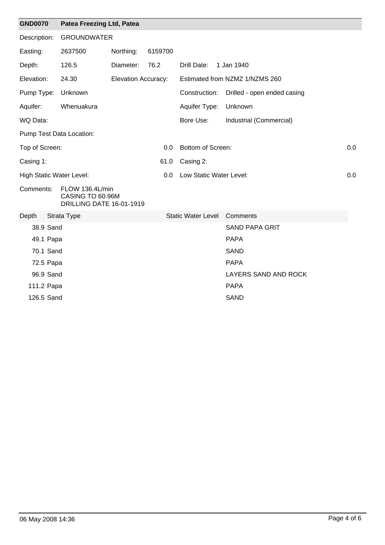| <b>GND0070</b> |           | Patea Freezing Ltd, Patea                                       |                            |         |                           |  |                                |     |  |
|----------------|-----------|-----------------------------------------------------------------|----------------------------|---------|---------------------------|--|--------------------------------|-----|--|
| Description:   |           | <b>GROUNDWATER</b>                                              |                            |         |                           |  |                                |     |  |
| Easting:       |           | 2637500                                                         | Northing:                  | 6159700 |                           |  |                                |     |  |
| Depth:         |           | 126.5                                                           | Diameter:                  | 76.2    | Drill Date:               |  | 1 Jan 1940                     |     |  |
| Elevation:     |           | 24.30                                                           | <b>Elevation Accuracy:</b> |         |                           |  | Estimated from NZMZ 1/NZMS 260 |     |  |
|                |           | Pump Type: Unknown                                              |                            |         | Construction:             |  | Drilled - open ended casing    |     |  |
| Aquifer:       |           | Whenuakura                                                      |                            |         | Aquifer Type:             |  | Unknown                        |     |  |
| WQ Data:       |           |                                                                 |                            |         | Bore Use:                 |  | Industrial (Commercial)        |     |  |
|                |           | Pump Test Data Location:                                        |                            |         |                           |  |                                |     |  |
| Top of Screen: |           |                                                                 |                            | 0.0     | <b>Bottom of Screen:</b>  |  |                                | 0.0 |  |
| Casing 1:      |           |                                                                 |                            | 61.0    | Casing 2:                 |  |                                |     |  |
|                |           | <b>High Static Water Level:</b>                                 |                            | 0.0     | Low Static Water Level:   |  |                                | 0.0 |  |
| Comments:      |           | FLOW 136.4L/min<br>CASING TO 60.96M<br>DRILLING DATE 16-01-1919 |                            |         |                           |  |                                |     |  |
| Depth          |           | Strata Type                                                     |                            |         | <b>Static Water Level</b> |  | Comments                       |     |  |
|                | 38.9 Sand |                                                                 |                            |         |                           |  | <b>SAND PAPA GRIT</b>          |     |  |
|                | 49.1 Papa |                                                                 |                            |         |                           |  | <b>PAPA</b>                    |     |  |
|                | 70.1 Sand |                                                                 |                            |         |                           |  | <b>SAND</b>                    |     |  |
|                | 72.5 Papa |                                                                 |                            |         |                           |  | <b>PAPA</b>                    |     |  |
|                | 96.9 Sand |                                                                 |                            |         |                           |  | LAYERS SAND AND ROCK           |     |  |
| 111.2 Papa     |           |                                                                 |                            |         |                           |  | <b>PAPA</b>                    |     |  |
| 126.5 Sand     |           |                                                                 |                            |         |                           |  | <b>SAND</b>                    |     |  |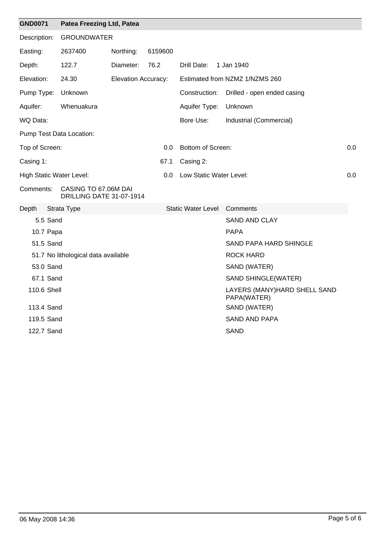| <b>GND0071</b>           | Patea Freezing Ltd, Patea                        |                            |               |                           |                                             |     |
|--------------------------|--------------------------------------------------|----------------------------|---------------|---------------------------|---------------------------------------------|-----|
| Description:             | <b>GROUNDWATER</b>                               |                            |               |                           |                                             |     |
| Easting:                 | 2637400                                          | Northing:                  | 6159600       |                           |                                             |     |
| Depth:                   | 122.7                                            | Diameter:                  | 76.2          | Drill Date:               | 1 Jan 1940                                  |     |
| Elevation:               | 24.30                                            | <b>Elevation Accuracy:</b> |               |                           | Estimated from NZMZ 1/NZMS 260              |     |
| Pump Type:               | Unknown                                          |                            |               | Construction:             | Drilled - open ended casing                 |     |
| Aquifer:                 | Whenuakura                                       |                            |               | Aquifer Type:             | Unknown                                     |     |
| WQ Data:                 |                                                  |                            |               | Bore Use:                 | Industrial (Commercial)                     |     |
| Pump Test Data Location: |                                                  |                            |               |                           |                                             |     |
| Top of Screen:           |                                                  |                            | 0.0           | Bottom of Screen:         |                                             | 0.0 |
| Casing 1:                |                                                  |                            | 67.1          | Casing 2:                 |                                             |     |
| High Static Water Level: |                                                  |                            | $0.0^{\circ}$ | Low Static Water Level:   |                                             | 0.0 |
| Comments:                | CASING TO 67.06M DAI<br>DRILLING DATE 31-07-1914 |                            |               |                           |                                             |     |
| Depth                    | Strata Type                                      |                            |               | <b>Static Water Level</b> | Comments                                    |     |
| 5.5 Sand                 |                                                  |                            |               |                           | <b>SAND AND CLAY</b>                        |     |
| 10.7 Papa                |                                                  |                            |               |                           | <b>PAPA</b>                                 |     |
| 51.5 Sand                |                                                  |                            |               |                           | <b>SAND PAPA HARD SHINGLE</b>               |     |
|                          | 51.7 No lithological data available              |                            |               |                           | <b>ROCK HARD</b>                            |     |
| 53.0 Sand                |                                                  |                            |               |                           | SAND (WATER)                                |     |
| 67.1 Sand                |                                                  |                            |               |                           | SAND SHINGLE(WATER)                         |     |
| 110.6 Shell              |                                                  |                            |               |                           | LAYERS (MANY)HARD SHELL SAND<br>PAPA(WATER) |     |
| 113.4 Sand               |                                                  |                            |               |                           | SAND (WATER)                                |     |
| 119.5 Sand               |                                                  |                            |               |                           | <b>SAND AND PAPA</b>                        |     |
| 122.7 Sand               |                                                  |                            |               |                           | <b>SAND</b>                                 |     |